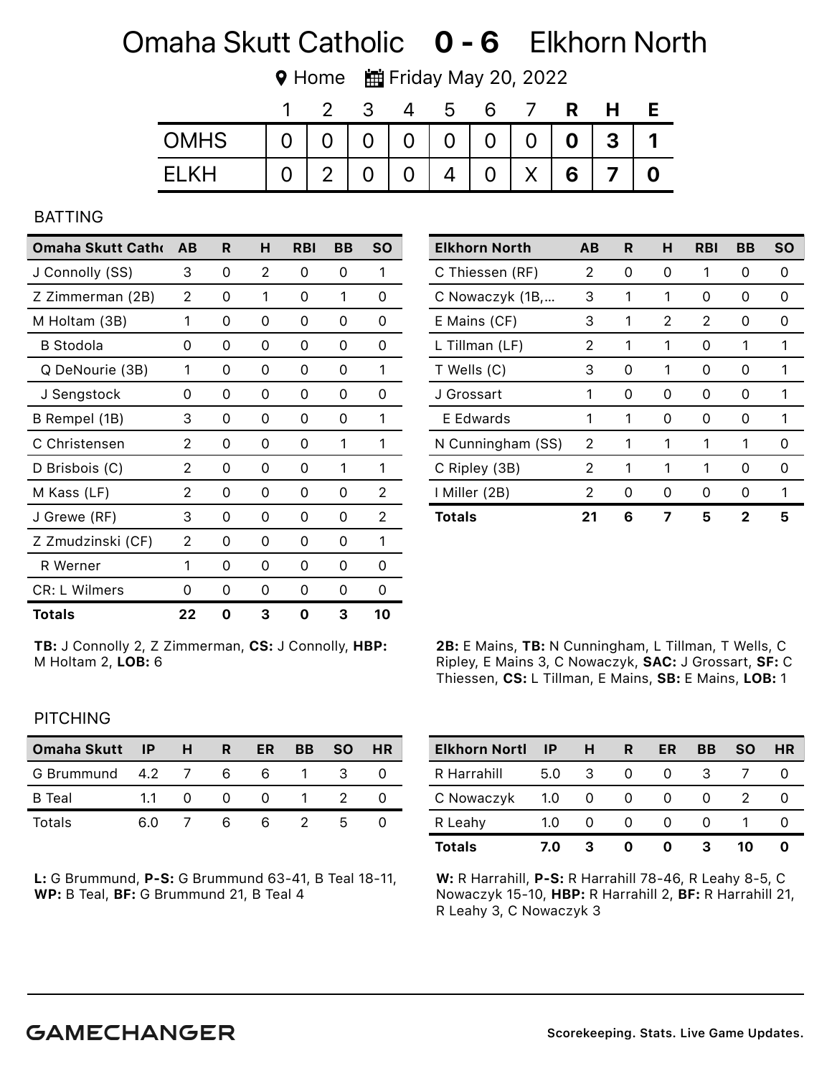## Omaha Skutt Catholic **0 - 6** Elkhorn North

**♥ Home ■ Friday May 20, 2022** 

|             |          |                |               | b |   |         | R              |              |  |
|-------------|----------|----------------|---------------|---|---|---------|----------------|--------------|--|
| <b>OMHS</b> | $\Omega$ |                | $0 0 0 0 0 0$ |   |   | $0$   0 | $\overline{0}$ | $\mathbf{3}$ |  |
| FI KH       |          | 2 <sup>1</sup> |               | 4 | 0 | X       | 6              |              |  |

#### BATTING

| Omaha Skutt Catho    | AB | R | н | <b>RBI</b> | BB | <b>SO</b> |
|----------------------|----|---|---|------------|----|-----------|
| J Connolly (SS)      | 3  | 0 | 2 | 0          | 0  | 1         |
| Z Zimmerman (2B)     | 2  | 0 | 1 | 0          | 1  | 0         |
| M Holtam (3B)        | 1  | 0 | 0 | 0          | 0  | 0         |
| <b>B</b> Stodola     | 0  | 0 | 0 | 0          | 0  | 0         |
| Q DeNourie (3B)      | 1  | 0 | 0 | 0          | 0  | 1         |
| J Sengstock          | 0  | 0 | 0 | 0          | 0  | 0         |
| B Rempel (1B)        | 3  | 0 | 0 | 0          | Ω  | 1         |
| C Christensen        | 2  | 0 | 0 | 0          | 1  | 1         |
| D Brisbois (C)       | 2  | 0 | 0 | 0          | 1  | 1         |
| M Kass (LF)          | 2  | 0 | 0 | 0          | 0  | 2         |
| J Grewe (RF)         | 3  | 0 | 0 | 0          | 0  | 2         |
| Z Zmudzinski (CF)    | 2  | 0 | 0 | 0          | Ω  | 1         |
| R Werner             | 1  | 0 | 0 | 0          | 0  | 0         |
| <b>CR: L Wilmers</b> | 0  | 0 | 0 | 0          | 0  | 0         |
| Totals               | 22 | ŋ | з | ი          | з  | 10        |

| <b>Elkhorn North</b> | AВ | R | н | <b>RBI</b> | BB | <b>SO</b> |
|----------------------|----|---|---|------------|----|-----------|
| C Thiessen (RF)      | 2  | 0 | 0 | 1          | 0  | 0         |
| C Nowaczyk (1B,      | 3  | 1 | 1 | 0          | 0  | O         |
| E Mains (CF)         | 3  | 1 | 2 | 2          | 0  | O         |
| L Tillman (LF)       | 2  | 1 | 1 | O          | 1  | 1         |
| T Wells (C)          | 3  | 0 | 1 | 0          | 0  | 1         |
| J Grossart           | 1  | ი | O | O          | 0  | 1         |
| E Edwards            | 1  | 1 | 0 | Ω          | 0  | 1         |
| N Cunningham (SS)    | 2  | 1 | 1 | 1          | 1  | 0         |
| C Ripley (3B)        | 2  | 1 | 1 | 1          | 0  | O         |
| I Miller (2B)        | 2  | ი | O | Ω          | O  |           |
| <b>Totals</b>        | 21 | 6 |   | 5          | 2  | 5         |

TB: J Connolly 2, Z Zimmerman, CS: J Connolly, HBP: M Holtam 2, LOB: 6

| 2B: E Mains, TB: N Cunningham, L Tillman, T Wells, C  |
|-------------------------------------------------------|
| Ripley, E Mains 3, C Nowaczyk, SAC: J Grossart, SF: C |
| Thiessen, CS: L Tillman, E Mains, SB: E Mains, LOB: 1 |

#### PITCHING

| Omaha Skutt IP   |     | H | R | ER           | <b>BB</b> | <b>SO</b> | <b>HR</b> |
|------------------|-----|---|---|--------------|-----------|-----------|-----------|
| G Brummund 4.2 7 |     |   | 6 | 6            |           |           |           |
| B Teal           | 11  |   |   | $\mathbf{U}$ |           |           |           |
| Totals           | 6 N |   | h | h            |           | h         |           |

L: G Brummund, P-S: G Brummund 63-41, B Teal 18-11, WP: B Teal, BF: G Brummund 21, B Teal 4

| <b>Elkhorn Nortl</b> | <b>IP</b> | н        | R                 | ER | ВB | <b>SO</b> | HR |
|----------------------|-----------|----------|-------------------|----|----|-----------|----|
| R Harrahill          | 5.0       | 3        | $\mathbf{\Omega}$ |    | З  |           |    |
| C Nowaczyk           | 1.0       | -0       | $\mathbf{O}$      |    |    |           |    |
| R Leahy              | 1.0       | $\Omega$ |                   |    |    |           |    |
| <b>Totals</b>        | 7.0       | 3        |                   |    | з  | 10        |    |

W: R Harrahill, P-S: R Harrahill 78-46, R Leahy 8-5, C Nowaczyk 15-10, HBP: R Harrahill 2, BF: R Harrahill 21, R Leahy 3, C Nowaczyk 3